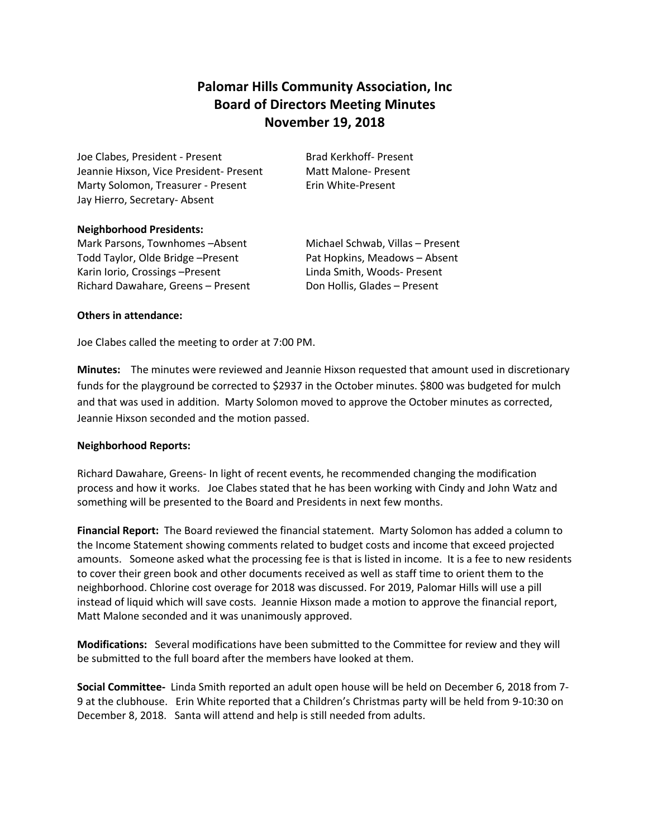## **Palomar Hills Community Association, Inc Board of Directors Meeting Minutes November 19, 2018**

Joe Clabes, President - Present Brad Kerkhoff- Present Jeannie Hixson, Vice President- Present Matt Malone- Present Marty Solomon, Treasurer - Present Erin White-Present Jay Hierro, Secretary- Absent

## **Neighborhood Presidents:**

Mark Parsons, Townhomes - Absent Michael Schwab, Villas - Present Todd Taylor, Olde Bridge – Present Pat Hopkins, Meadows – Absent Karin Iorio, Crossings – Present Linda Smith, Woods- Present Richard Dawahare, Greens – Present Don Hollis, Glades – Present

## **Others in attendance:**

Joe Clabes called the meeting to order at 7:00 PM.

**Minutes:** The minutes were reviewed and Jeannie Hixson requested that amount used in discretionary funds for the playground be corrected to \$2937 in the October minutes. \$800 was budgeted for mulch and that was used in addition. Marty Solomon moved to approve the October minutes as corrected, Jeannie Hixson seconded and the motion passed.

## **Neighborhood Reports:**

Richard Dawahare, Greens- In light of recent events, he recommended changing the modification process and how it works. Joe Clabes stated that he has been working with Cindy and John Watz and something will be presented to the Board and Presidents in next few months.

**Financial Report:** The Board reviewed the financial statement. Marty Solomon has added a column to the Income Statement showing comments related to budget costs and income that exceed projected amounts. Someone asked what the processing fee is that is listed in income. It is a fee to new residents to cover their green book and other documents received as well as staff time to orient them to the neighborhood. Chlorine cost overage for 2018 was discussed. For 2019, Palomar Hills will use a pill instead of liquid which will save costs. Jeannie Hixson made a motion to approve the financial report, Matt Malone seconded and it was unanimously approved.

**Modifications:** Several modifications have been submitted to the Committee for review and they will be submitted to the full board after the members have looked at them.

**Social Committee-** Linda Smith reported an adult open house will be held on December 6, 2018 from 7- 9 at the clubhouse. Erin White reported that a Children's Christmas party will be held from 9-10:30 on December 8, 2018. Santa will attend and help is still needed from adults.